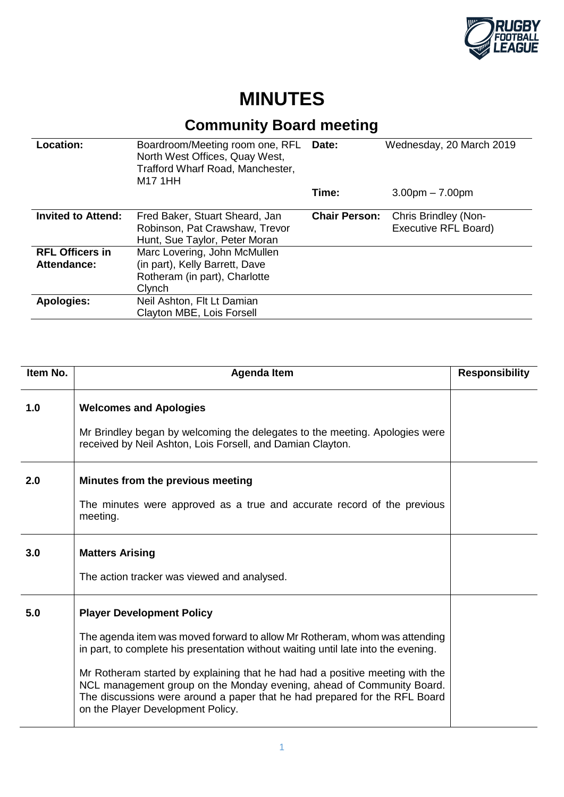

## **MINUTES**

## **Community Board meeting**

| <b>Location:</b>                      | Boardroom/Meeting room one, RFL Date:<br>North West Offices, Quay West,<br>Trafford Wharf Road, Manchester,<br>M17 1HH |                      | Wednesday, 20 March 2019                     |
|---------------------------------------|------------------------------------------------------------------------------------------------------------------------|----------------------|----------------------------------------------|
|                                       |                                                                                                                        | Time:                | $3.00pm - 7.00pm$                            |
| <b>Invited to Attend:</b>             | Fred Baker, Stuart Sheard, Jan<br>Robinson, Pat Crawshaw, Trevor<br>Hunt, Sue Taylor, Peter Moran                      | <b>Chair Person:</b> | Chris Brindley (Non-<br>Executive RFL Board) |
| <b>RFL Officers in</b><br>Attendance: | Marc Lovering, John McMullen<br>(in part), Kelly Barrett, Dave<br>Rotheram (in part), Charlotte<br>Clynch              |                      |                                              |
| <b>Apologies:</b>                     | Neil Ashton, Flt Lt Damian<br>Clayton MBE, Lois Forsell                                                                |                      |                                              |

| Item No. | <b>Agenda Item</b>                                                                                                                                                                                                                                                                                                                                                                                                                                                                | <b>Responsibility</b> |
|----------|-----------------------------------------------------------------------------------------------------------------------------------------------------------------------------------------------------------------------------------------------------------------------------------------------------------------------------------------------------------------------------------------------------------------------------------------------------------------------------------|-----------------------|
| 1.0      | <b>Welcomes and Apologies</b><br>Mr Brindley began by welcoming the delegates to the meeting. Apologies were<br>received by Neil Ashton, Lois Forsell, and Damian Clayton.                                                                                                                                                                                                                                                                                                        |                       |
| 2.0      | Minutes from the previous meeting<br>The minutes were approved as a true and accurate record of the previous<br>meeting.                                                                                                                                                                                                                                                                                                                                                          |                       |
| 3.0      | <b>Matters Arising</b><br>The action tracker was viewed and analysed.                                                                                                                                                                                                                                                                                                                                                                                                             |                       |
| 5.0      | <b>Player Development Policy</b><br>The agenda item was moved forward to allow Mr Rotheram, whom was attending<br>in part, to complete his presentation without waiting until late into the evening.<br>Mr Rotheram started by explaining that he had had a positive meeting with the<br>NCL management group on the Monday evening, ahead of Community Board.<br>The discussions were around a paper that he had prepared for the RFL Board<br>on the Player Development Policy. |                       |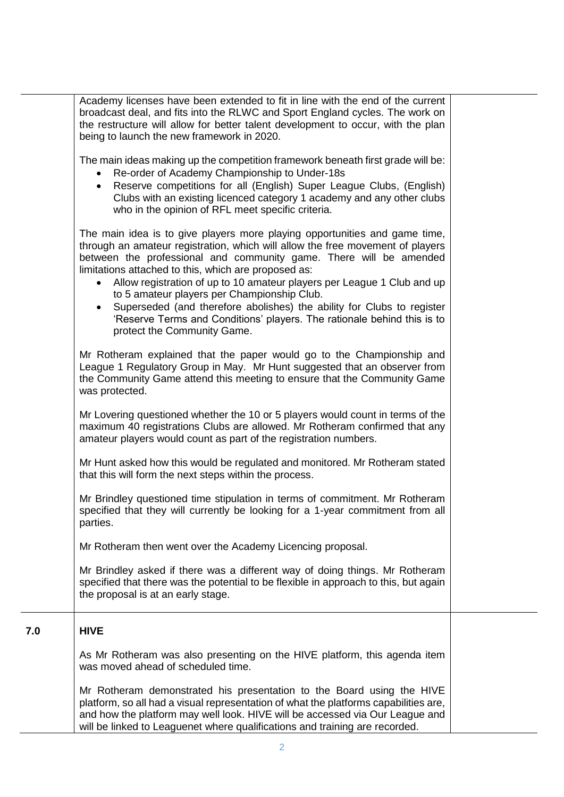|     | Academy licenses have been extended to fit in line with the end of the current<br>broadcast deal, and fits into the RLWC and Sport England cycles. The work on<br>the restructure will allow for better talent development to occur, with the plan<br>being to launch the new framework in 2020.                                                                                                                                                                                                                                                                                                                                   |  |
|-----|------------------------------------------------------------------------------------------------------------------------------------------------------------------------------------------------------------------------------------------------------------------------------------------------------------------------------------------------------------------------------------------------------------------------------------------------------------------------------------------------------------------------------------------------------------------------------------------------------------------------------------|--|
|     | The main ideas making up the competition framework beneath first grade will be:<br>Re-order of Academy Championship to Under-18s<br>$\bullet$<br>Reserve competitions for all (English) Super League Clubs, (English)<br>$\bullet$<br>Clubs with an existing licenced category 1 academy and any other clubs<br>who in the opinion of RFL meet specific criteria.                                                                                                                                                                                                                                                                  |  |
|     | The main idea is to give players more playing opportunities and game time,<br>through an amateur registration, which will allow the free movement of players<br>between the professional and community game. There will be amended<br>limitations attached to this, which are proposed as:<br>Allow registration of up to 10 amateur players per League 1 Club and up<br>$\bullet$<br>to 5 amateur players per Championship Club.<br>Superseded (and therefore abolishes) the ability for Clubs to register<br>$\bullet$<br>'Reserve Terms and Conditions' players. The rationale behind this is to<br>protect the Community Game. |  |
|     | Mr Rotheram explained that the paper would go to the Championship and<br>League 1 Regulatory Group in May. Mr Hunt suggested that an observer from<br>the Community Game attend this meeting to ensure that the Community Game<br>was protected.                                                                                                                                                                                                                                                                                                                                                                                   |  |
|     | Mr Lovering questioned whether the 10 or 5 players would count in terms of the<br>maximum 40 registrations Clubs are allowed. Mr Rotheram confirmed that any<br>amateur players would count as part of the registration numbers.                                                                                                                                                                                                                                                                                                                                                                                                   |  |
|     | Mr Hunt asked how this would be regulated and monitored. Mr Rotheram stated<br>that this will form the next steps within the process.                                                                                                                                                                                                                                                                                                                                                                                                                                                                                              |  |
|     | Mr Brindley questioned time stipulation in terms of commitment. Mr Rotheram<br>specified that they will currently be looking for a 1-year commitment from all<br>parties.                                                                                                                                                                                                                                                                                                                                                                                                                                                          |  |
|     | Mr Rotheram then went over the Academy Licencing proposal.                                                                                                                                                                                                                                                                                                                                                                                                                                                                                                                                                                         |  |
|     | Mr Brindley asked if there was a different way of doing things. Mr Rotheram<br>specified that there was the potential to be flexible in approach to this, but again<br>the proposal is at an early stage.                                                                                                                                                                                                                                                                                                                                                                                                                          |  |
| 7.0 | <b>HIVE</b>                                                                                                                                                                                                                                                                                                                                                                                                                                                                                                                                                                                                                        |  |
|     | As Mr Rotheram was also presenting on the HIVE platform, this agenda item<br>was moved ahead of scheduled time.                                                                                                                                                                                                                                                                                                                                                                                                                                                                                                                    |  |
|     | Mr Rotheram demonstrated his presentation to the Board using the HIVE<br>platform, so all had a visual representation of what the platforms capabilities are,<br>and how the platform may well look. HIVE will be accessed via Our League and<br>will be linked to Leaguenet where qualifications and training are recorded.                                                                                                                                                                                                                                                                                                       |  |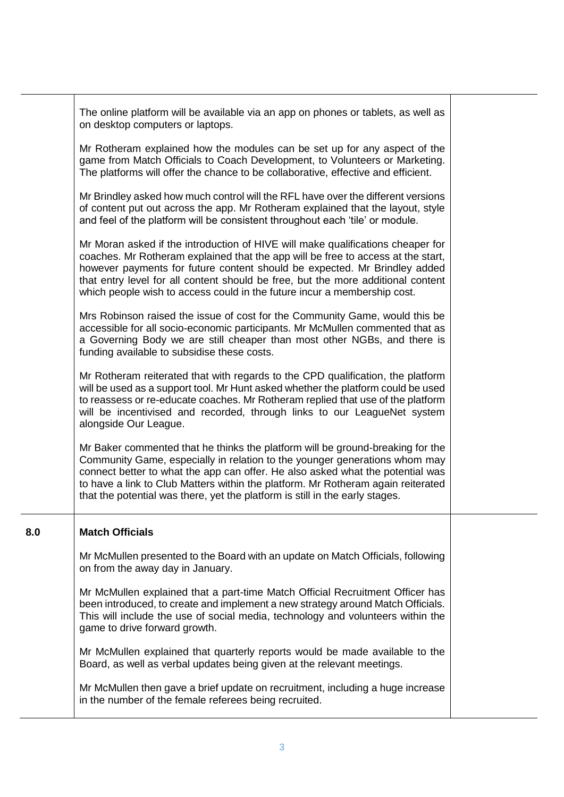|     | The online platform will be available via an app on phones or tablets, as well as<br>on desktop computers or laptops.                                                                                                                                                                                                                                                                                              |  |
|-----|--------------------------------------------------------------------------------------------------------------------------------------------------------------------------------------------------------------------------------------------------------------------------------------------------------------------------------------------------------------------------------------------------------------------|--|
|     | Mr Rotheram explained how the modules can be set up for any aspect of the<br>game from Match Officials to Coach Development, to Volunteers or Marketing.<br>The platforms will offer the chance to be collaborative, effective and efficient.                                                                                                                                                                      |  |
|     | Mr Brindley asked how much control will the RFL have over the different versions<br>of content put out across the app. Mr Rotheram explained that the layout, style<br>and feel of the platform will be consistent throughout each 'tile' or module.                                                                                                                                                               |  |
|     | Mr Moran asked if the introduction of HIVE will make qualifications cheaper for<br>coaches. Mr Rotheram explained that the app will be free to access at the start,<br>however payments for future content should be expected. Mr Brindley added<br>that entry level for all content should be free, but the more additional content<br>which people wish to access could in the future incur a membership cost.   |  |
|     | Mrs Robinson raised the issue of cost for the Community Game, would this be<br>accessible for all socio-economic participants. Mr McMullen commented that as<br>a Governing Body we are still cheaper than most other NGBs, and there is<br>funding available to subsidise these costs.                                                                                                                            |  |
|     | Mr Rotheram reiterated that with regards to the CPD qualification, the platform<br>will be used as a support tool. Mr Hunt asked whether the platform could be used<br>to reassess or re-educate coaches. Mr Rotheram replied that use of the platform<br>will be incentivised and recorded, through links to our LeagueNet system<br>alongside Our League.                                                        |  |
|     | Mr Baker commented that he thinks the platform will be ground-breaking for the<br>Community Game, especially in relation to the younger generations whom may<br>connect better to what the app can offer. He also asked what the potential was<br>to have a link to Club Matters within the platform. Mr Rotheram again reiterated<br>that the potential was there, yet the platform is still in the early stages. |  |
| 8.0 | <b>Match Officials</b>                                                                                                                                                                                                                                                                                                                                                                                             |  |
|     | Mr McMullen presented to the Board with an update on Match Officials, following<br>on from the away day in January.                                                                                                                                                                                                                                                                                                |  |
|     | Mr McMullen explained that a part-time Match Official Recruitment Officer has<br>been introduced, to create and implement a new strategy around Match Officials.<br>This will include the use of social media, technology and volunteers within the<br>game to drive forward growth.                                                                                                                               |  |
|     | Mr McMullen explained that quarterly reports would be made available to the<br>Board, as well as verbal updates being given at the relevant meetings.                                                                                                                                                                                                                                                              |  |
|     | Mr McMullen then gave a brief update on recruitment, including a huge increase<br>in the number of the female referees being recruited.                                                                                                                                                                                                                                                                            |  |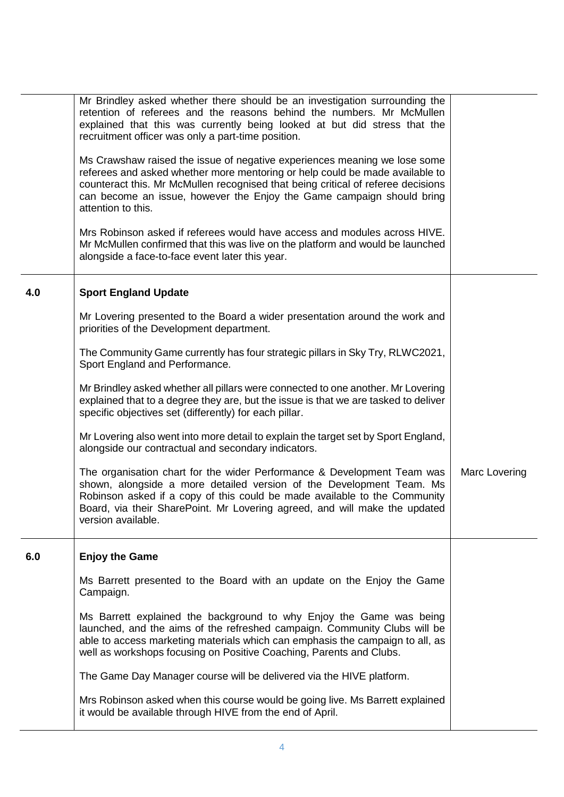| 4.0<br><b>Sport England Update</b>                                                                                                                                                                                                                                                                                                                |
|---------------------------------------------------------------------------------------------------------------------------------------------------------------------------------------------------------------------------------------------------------------------------------------------------------------------------------------------------|
| Mr Lovering presented to the Board a wider presentation around the work and                                                                                                                                                                                                                                                                       |
| priorities of the Development department.                                                                                                                                                                                                                                                                                                         |
| The Community Game currently has four strategic pillars in Sky Try, RLWC2021,<br>Sport England and Performance.                                                                                                                                                                                                                                   |
| Mr Brindley asked whether all pillars were connected to one another. Mr Lovering<br>explained that to a degree they are, but the issue is that we are tasked to deliver<br>specific objectives set (differently) for each pillar.                                                                                                                 |
| Mr Lovering also went into more detail to explain the target set by Sport England,<br>alongside our contractual and secondary indicators.                                                                                                                                                                                                         |
| The organisation chart for the wider Performance & Development Team was<br>Marc Lovering<br>shown, alongside a more detailed version of the Development Team. Ms<br>Robinson asked if a copy of this could be made available to the Community<br>Board, via their SharePoint. Mr Lovering agreed, and will make the updated<br>version available. |
| <b>Enjoy the Game</b><br>6.0                                                                                                                                                                                                                                                                                                                      |
| Ms Barrett presented to the Board with an update on the Enjoy the Game<br>Campaign.                                                                                                                                                                                                                                                               |
| Ms Barrett explained the background to why Enjoy the Game was being<br>launched, and the aims of the refreshed campaign. Community Clubs will be<br>able to access marketing materials which can emphasis the campaign to all, as<br>well as workshops focusing on Positive Coaching, Parents and Clubs.                                          |
| The Game Day Manager course will be delivered via the HIVE platform.                                                                                                                                                                                                                                                                              |
| Mrs Robinson asked when this course would be going live. Ms Barrett explained<br>it would be available through HIVE from the end of April.                                                                                                                                                                                                        |